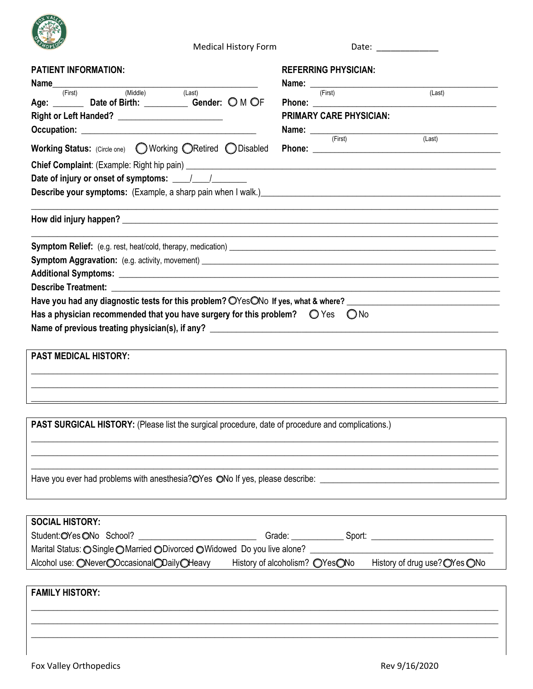

**Medical History Form** 

| <b>PATIENT INFORMATION:</b>                                                                                                                                                                                                    | <b>REFERRING PHYSICIAN:</b>                                |        |
|--------------------------------------------------------------------------------------------------------------------------------------------------------------------------------------------------------------------------------|------------------------------------------------------------|--------|
| (First)<br>(Middle)<br>(Last)                                                                                                                                                                                                  | <b>Name:</b> $\frac{}{(\text{First})}$                     | (Last) |
| Age: _________ Date of Birth: ____________ Gender: O M OF                                                                                                                                                                      |                                                            |        |
|                                                                                                                                                                                                                                | <b>PRIMARY CARE PHYSICIAN:</b>                             |        |
|                                                                                                                                                                                                                                | <b>Name:</b> $\frac{ }{ \text{(First)}}$                   | (Last) |
|                                                                                                                                                                                                                                |                                                            |        |
|                                                                                                                                                                                                                                |                                                            |        |
|                                                                                                                                                                                                                                |                                                            |        |
|                                                                                                                                                                                                                                |                                                            |        |
|                                                                                                                                                                                                                                |                                                            |        |
|                                                                                                                                                                                                                                | <u> 1989 - Johann Stoff, amerikansk politiker (* 1908)</u> |        |
|                                                                                                                                                                                                                                |                                                            |        |
|                                                                                                                                                                                                                                |                                                            |        |
| Describe Treatment: The contract of the contract of the contract of the contract of the contract of the contract of the contract of the contract of the contract of the contract of the contract of the contract of the contra |                                                            |        |
| Have you had any diagnostic tests for this problem? OYesONo If yes, what & where? ____                                                                                                                                         |                                                            |        |
| Has a physician recommended that you have surgery for this problem? $\bigcirc$ Yes $\bigcirc$ No                                                                                                                               |                                                            |        |
| <b>PAST MEDICAL HISTORY:</b>                                                                                                                                                                                                   |                                                            |        |
|                                                                                                                                                                                                                                |                                                            |        |
|                                                                                                                                                                                                                                |                                                            |        |
| <b>PAST SURGICAL HISTORY:</b> (Please list the surgical procedure, date of procedure and complications.)                                                                                                                       |                                                            |        |
|                                                                                                                                                                                                                                |                                                            |        |
| Have you ever had problems with anesthesia?OYes ONo If yes, please describe:                                                                                                                                                   |                                                            |        |

| <b>SOCIAL HISTORY:</b>                                                     |                                |        |                               |  |  |  |
|----------------------------------------------------------------------------|--------------------------------|--------|-------------------------------|--|--|--|
| Student: OYes ONo School?                                                  | Grade:                         | Sport: |                               |  |  |  |
| Marital Status: O Single O Married O Divorced O Widowed Do you live alone? |                                |        |                               |  |  |  |
| Alcohol use: ONeverOOccasionalODailyOHeavy                                 | History of alcoholism? OYesONo |        | History of drug use? OYes ONo |  |  |  |
|                                                                            |                                |        |                               |  |  |  |

## **FAMILY HISTORY:**